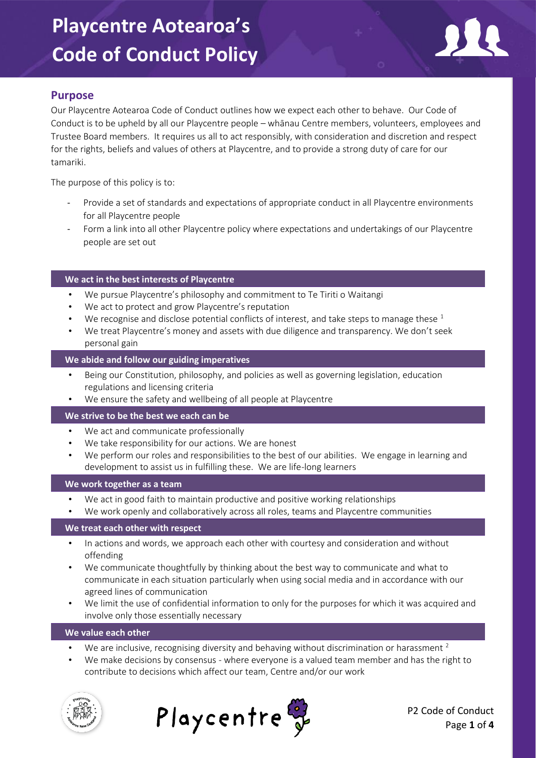

## **Purpose**

Our Playcentre Aotearoa Code of Conduct outlines how we expect each other to behave. Our Code of Conduct is to be upheld by all our Playcentre people – whānau Centre members, volunteers, employees and Trustee Board members. It requires us all to act responsibly, with consideration and discretion and respect for the rights, beliefs and values of others at Playcentre, and to provide a strong duty of care for our tamariki.

The purpose of this policy is to:

- Provide a set of standards and expectations of appropriate conduct in all Playcentre environments for all Playcentre people
- Form a link into all other Playcentre policy where expectations and undertakings of our Playcentre people are set out

### **We act in the best interests of Playcentre**

- We pursue Playcentre's philosophy and commitment to Te Tiriti o Waitangi
- We act to protect and grow Playcentre's reputation
- We recognise and disclose potential conflicts of interest, and take steps to manage these  $1$
- We treat Playcentre's money and assets with due diligence and transparency. We don't seek personal gain

### **We abide and follow our guiding imperatives**

- Being our Constitution, philosophy, and policies as well as governing legislation, education regulations and licensing criteria
- We ensure the safety and wellbeing of all people at Playcentre

#### **We strive to be the best we each can be**

- We act and communicate professionally
- We take responsibility for our actions. We are honest
- We perform our roles and responsibilities to the best of our abilities. We engage in learning and development to assist us in fulfilling these. We are life-long learners

#### **We work together as a team**

- We act in good faith to maintain productive and positive working relationships
- We work openly and collaboratively across all roles, teams and Playcentre communities

#### **We treat each other with respect**

- In actions and words, we approach each other with courtesy and consideration and without offending
- We communicate thoughtfully by thinking about the best way to communicate and what to communicate in each situation particularly when using social media and in accordance with our agreed lines of communication
- We limit the use of confidential information to only for the purposes for which it was acquired and involve only those essentially necessary

#### **We value each other**

- We are inclusive, recognising diversity and behaving without discrimination or harassment  $2$
- We make decisions by consensus where everyone is a valued team member and has the right to contribute to decisions which affect our team, Centre and/or our work





P2 Code of Conduct Page **1** of **4**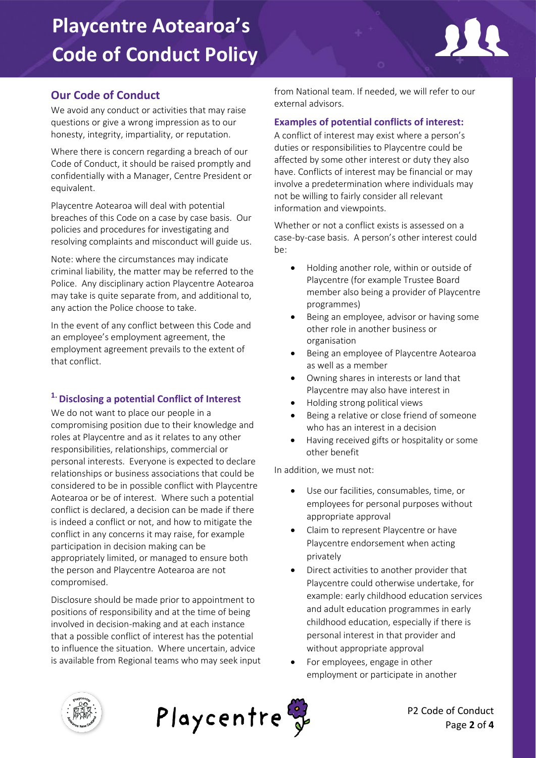

# **Our Code of Conduct**

We avoid any conduct or activities that may raise questions or give a wrong impression as to our honesty, integrity, impartiality, or reputation.

Where there is concern regarding a breach of our Code of Conduct, it should be raised promptly and confidentially with a Manager, Centre President or equivalent.

Playcentre Aotearoa will deal with potential breaches of this Code on a case by case basis. Our policies and procedures for investigating and resolving complaints and misconduct will guide us.

Note: where the circumstances may indicate criminal liability, the matter may be referred to the Police. Any disciplinary action Playcentre Aotearoa may take is quite separate from, and additional to, any action the Police choose to take.

In the event of any conflict between this Code and an employee's employment agreement, the employment agreement prevails to the extent of that conflict.

## **1. Disclosing a potential Conflict of Interest**

We do not want to place our people in a compromising position due to their knowledge and roles at Playcentre and as it relates to any other responsibilities, relationships, commercial or personal interests. Everyone is expected to declare relationships or business associations that could be considered to be in possible conflict with Playcentre Aotearoa or be of interest. Where such a potential conflict is declared, a decision can be made if there is indeed a conflict or not, and how to mitigate the conflict in any concerns it may raise, for example participation in decision making can be appropriately limited, or managed to ensure both the person and Playcentre Aotearoa are not compromised.

Disclosure should be made prior to appointment to positions of responsibility and at the time of being involved in decision-making and at each instance that a possible conflict of interest has the potential to influence the situation. Where uncertain, advice is available from Regional teams who may seek input from National team. If needed, we will refer to our external advisors.

### **Examples of potential conflicts of interest:**

A conflict of interest may exist where a person's duties or responsibilities to Playcentre could be affected by some other interest or duty they also have. Conflicts of interest may be financial or may involve a predetermination where individuals may not be willing to fairly consider all relevant information and viewpoints.

Whether or not a conflict exists is assessed on a case-by-case basis. A person's other interest could be:

- Holding another role, within or outside of Playcentre (for example Trustee Board member also being a provider of Playcentre programmes)
- Being an employee, advisor or having some other role in another business or organisation
- Being an employee of Playcentre Aotearoa as well as a member
- Owning shares in interests or land that Playcentre may also have interest in
- Holding strong political views
- Being a relative or close friend of someone who has an interest in a decision
- Having received gifts or hospitality or some other benefit

In addition, we must not:

- Use our facilities, consumables, time, or employees for personal purposes without appropriate approval
- Claim to represent Playcentre or have Playcentre endorsement when acting privately
- Direct activities to another provider that Playcentre could otherwise undertake, for example: early childhood education services and adult education programmes in early childhood education, especially if there is personal interest in that provider and without appropriate approval
- For employees, engage in other employment or participate in another





P2 Code of Conduct Page **2** of **4**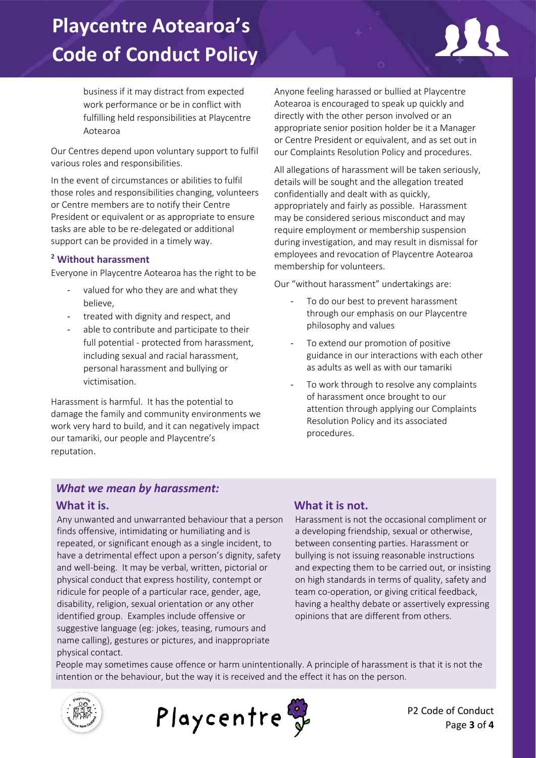

business if it may distract from expected work performance or be in conflict with fulfilling held responsibilities at Playcentre Aotearoa

Our Centres depend upon voluntary support to fulfil various roles and responsibilities.

In the event of circumstances or abilities to fulfil those roles and responsibilities changing, volunteers or Centre members are to notify their Centre President or equivalent or as appropriate to ensure tasks are able to be re-delegated or additional support can be provided in a timely way.

### **<sup>2</sup> Without harassment**

Everyone in Playcentre Aotearoa has the right to be

- valued for who they are and what they believe,
- treated with dignity and respect, and
- able to contribute and participate to their full potential - protected from harassment, including sexual and racial harassment, personal harassment and bullying or victimisation.

Harassment is harmful. It has the potential to damage the family and community environments we work very hard to build, and it can negatively impact our tamariki, our people and Playcentre's reputation.

Anyone feeling harassed or bullied at Playcentre Aotearoa is encouraged to speak up quickly and directly with the other person involved or an appropriate senior position holder be it a Manager or Centre President or equivalent, and as set out in our Complaints Resolution Policy and procedures.

All allegations of harassment will be taken seriously, details will be sought and the allegation treated confidentially and dealt with as quickly, appropriately and fairly as possible. Harassment may be considered serious misconduct and may require employment or membership suspension during investigation, and may result in dismissal for employees and revocation of Playcentre Aotearoa membership for volunteers.

Our "without harassment" undertakings are:

- To do our best to prevent harassment through our emphasis on our Playcentre philosophy and values
- To extend our promotion of positive guidance in our interactions with each other as adults as well as with our tamariki
- To work through to resolve any complaints of harassment once brought to our attention through applying our Complaints Resolution Policy and its associated procedures.

## *What we mean by harassment:*

## **What it is.**

Any unwanted and unwarranted behaviour that a person finds offensive, intimidating or humiliating and is repeated, or significant enough as a single incident, to have a detrimental effect upon a person's dignity, safety and well-being. It may be verbal, written, pictorial or physical conduct that express hostility, contempt or ridicule for people of a particular race, gender, age, disability, religion, sexual orientation or any other identified group. Examples include offensive or suggestive language (eg: jokes, teasing, rumours and name calling), gestures or pictures, and inappropriate physical contact.

## **What it is not.**

Harassment is not the occasional compliment or a developing friendship, sexual or otherwise, between consenting parties. Harassment or bullying is not issuing reasonable instructions and expecting them to be carried out, or insisting on high standards in terms of quality, safety and team co-operation, or giving critical feedback, having a healthy debate or assertively expressing opinions that are different from others.

People may sometimes cause offence or harm unintentionally. A principle of harassment is that it is not the intention or the behaviour, but the way it is received and the effect it has on the person.





P2 Code of Conduct Page **3** of **4**